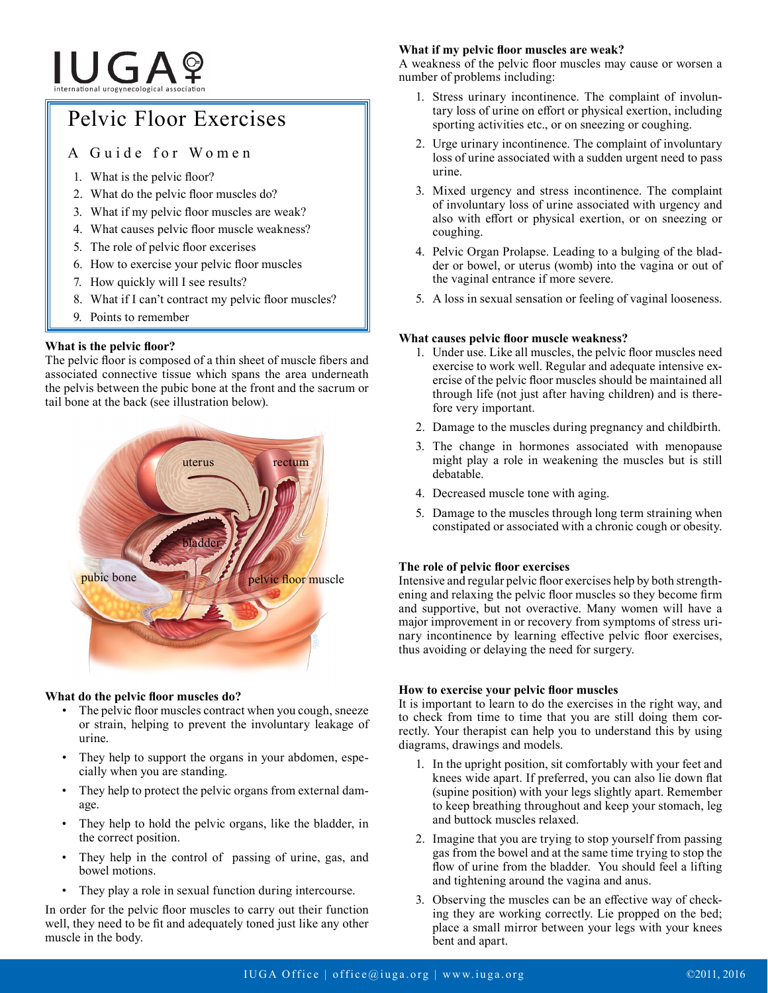# **IUGA**?

# Pelvic Floor Exercises

# A Guide for Women

- 1. What is the pelvic floor?
- 2. What do the pelvic floor muscles do?
- 3. What if my pelvic floor muscles are weak?
- 4. What causes pelvic floor muscle weakness?
- 5. The role of pelvic floor excerises
- 6. How to exercise your pelvic floor muscles
- 7. How quickly will I see results?
- 8. What if I can't contract my pelvic floor muscles?
- 9. Points to remember

# **What is the pelvic floor?**

The pelvic floor is composed of a thin sheet of muscle fibers and associated connective tissue which spans the area underneath the pelvis between the pubic bone at the front and the sacrum or tail bone at the back (see illustration below).



## **What do the pelvic floor muscles do?**

- The pelvic floor muscles contract when you cough, sneeze or strain, helping to prevent the involuntary leakage of urine.
- They help to support the organs in your abdomen, especially when you are standing.
- They help to protect the pelvic organs from external damage.
- They help to hold the pelvic organs, like the bladder, in the correct position.
- They help in the control of passing of urine, gas, and bowel motions.
- They play a role in sexual function during intercourse.

In order for the pelvic floor muscles to carry out their function well, they need to be fit and adequately toned just like any other muscle in the body.

# **What if my pelvic floor muscles are weak?**

A weakness of the pelvic floor muscles may cause or worsen a number of problems including:

- 1. Stress urinary incontinence. The complaint of involuntary loss of urine on effort or physical exertion, including sporting activities etc., or on sneezing or coughing.
- 2. Urge urinary incontinence. The complaint of involuntary loss of urine associated with a sudden urgent need to pass urine.
- 3. Mixed urgency and stress incontinence. The complaint of involuntary loss of urine associated with urgency and also with effort or physical exertion, or on sneezing or coughing.
- 4. Pelvic Organ Prolapse. Leading to a bulging of the bladder or bowel, or uterus (womb) into the vagina or out of the vaginal entrance if more severe.
- 5. A loss in sexual sensation or feeling of vaginal looseness.

# **What causes pelvic floor muscle weakness?**

- 1. Under use. Like all muscles, the pelvic floor muscles need exercise to work well. Regular and adequate intensive exercise of the pelvic floor muscles should be maintained all through life (not just after having children) and is therefore very important.
- 2. Damage to the muscles during pregnancy and childbirth.
- 3. The change in hormones associated with menopause might play a role in weakening the muscles but is still debatable.
- 4. Decreased muscle tone with aging.
- 5. Damage to the muscles through long term straining when constipated or associated with a chronic cough or obesity.

# **The role of pelvic floor exercises**

Intensive and regular pelvic floor exercises help by both strengthening and relaxing the pelvic floor muscles so they become firm and supportive, but not overactive. Many women will have a major improvement in or recovery from symptoms of stress urinary incontinence by learning effective pelvic floor exercises, thus avoiding or delaying the need for surgery.

## **How to exercise your pelvic floor muscles**

It is important to learn to do the exercises in the right way, and to check from time to time that you are still doing them correctly. Your therapist can help you to understand this by using diagrams, drawings and models.

- 1. In the upright position, sit comfortably with your feet and knees wide apart. If preferred, you can also lie down flat (supine position) with your legs slightly apart. Remember to keep breathing throughout and keep your stomach, leg and buttock muscles relaxed.
- 2. Imagine that you are trying to stop yourself from passing gas from the bowel and at the same time trying to stop the flow of urine from the bladder. You should feel a lifting and tightening around the vagina and anus.
- 3. Observing the muscles can be an effective way of checking they are working correctly. Lie propped on the bed; place a small mirror between your legs with your knees bent and apart.